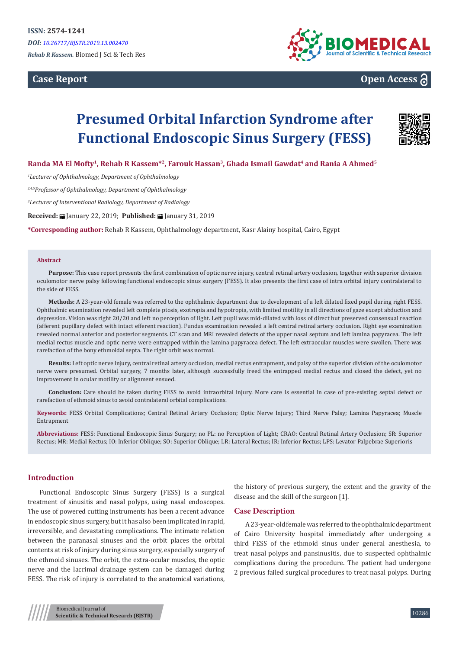**Case Report**



# **Open Access**

# **Presumed Orbital Infarction Syndrome after Functional Endoscopic Sinus Surgery (FESS)**



# **Randa MA El Mofty<sup>1</sup>, Rehab R Kassem\*2, Farouk Hassan3, Ghada Ismail Gawdat<sup>4</sup> and Rania A Ahmed<sup>5</sup>**

*1 Lecturer of Ophthalmology, Department of Ophthalmology*

*2,4,5Professor of Ophthalmology, Department of Ophthalmology*

*3 Lecturer of Interventional Radiology, Department of Radialogy*

**Received:** January 22, 2019; **Published:** January 31, 2019

**\*Corresponding author:** Rehab R Kassem, Ophthalmology department, Kasr Alainy hospital, Cairo, Egypt

#### **Abstract**

**Purpose:** This case report presents the first combination of optic nerve injury, central retinal artery occlusion, together with superior division oculomotor nerve palsy following functional endoscopic sinus surgery (FESS). It also presents the first case of intra orbital injury contralateral to the side of FESS.

**Methods:** A 23-year-old female was referred to the ophthalmic department due to development of a left dilated fixed pupil during right FESS. Ophthalmic examination revealed left complete ptosis, exotropia and hypotropia, with limited motility in all directions of gaze except abduction and depression. Vision was right 20/20 and left no perception of light. Left pupil was mid-dilated with loss of direct but preserved consensual reaction (afferent pupillary defect with intact efferent reaction). Fundus examination revealed a left central retinal artery occlusion. Right eye examination revealed normal anterior and posterior segments. CT scan and MRI revealed defects of the upper nasal septum and left lamina papyracea. The left medial rectus muscle and optic nerve were entrapped within the lamina papyracea defect. The left extraocular muscles were swollen. There was rarefaction of the bony ethmoidal septa. The right orbit was normal.

**Results:** Left optic nerve injury, central retinal artery occlusion, medial rectus entrapment, and palsy of the superior division of the oculomotor nerve were presumed. Orbital surgery, 7 months later, although successfully freed the entrapped medial rectus and closed the defect, yet no improvement in ocular motility or alignment ensued.

**Conclusion:** Care should be taken during FESS to avoid intraorbital injury. More care is essential in case of pre-existing septal defect or rarefaction of ethmoid sinus to avoid contralateral orbital complications.

**Keywords:** FESS Orbital Complications; Central Retinal Artery Occlusion; Optic Nerve Injury; Third Nerve Palsy; Lamina Papyracea; Muscle Entrapment

**Abbreviations:** FESS: Functional Endoscopic Sinus Surgery; no PL: no Perception of Light; CRAO: Central Retinal Artery Occlusion; SR: Superior Rectus; MR: Medial Rectus; IO: Inferior Oblique; SO: Superior Oblique; LR: Lateral Rectus; IR: Inferior Rectus; LPS: Levator Palpebrae Superioris

#### **Introduction**

Functional Endoscopic Sinus Surgery (FESS) is a surgical treatment of sinusitis and nasal polyps, using nasal endoscopes. The use of powered cutting instruments has been a recent advance in endoscopic sinus surgery, but it has also been implicated in rapid, irreversible, and devastating complications. The intimate relation between the paranasal sinuses and the orbit places the orbital contents at risk of injury during sinus surgery, especially surgery of the ethmoid sinuses. The orbit, the extra-ocular muscles, the optic nerve and the lacrimal drainage system can be damaged during FESS. The risk of injury is correlated to the anatomical variations,

the history of previous surgery, the extent and the gravity of the disease and the skill of the surgeon [1].

#### **Case Description**

A 23-year-old female was referred to the ophthalmic department of Cairo University hospital immediately after undergoing a third FESS of the ethmoid sinus under general anesthesia, to treat nasal polyps and pansinusitis, due to suspected ophthalmic complications during the procedure. The patient had undergone 2 previous failed surgical procedures to treat nasal polyps. During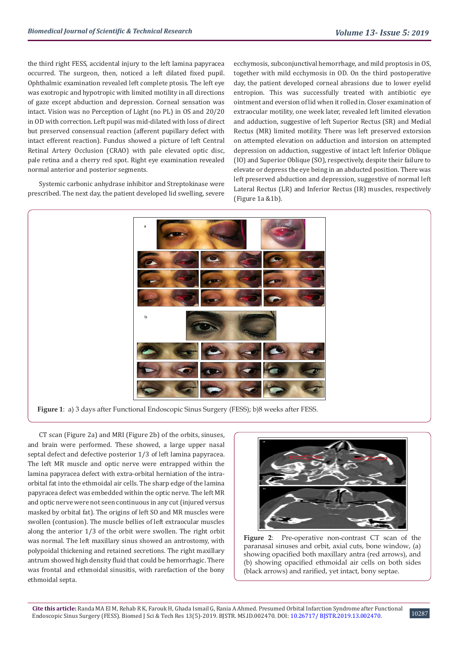the third right FESS, accidental injury to the left lamina papyracea occurred. The surgeon, then, noticed a left dilated fixed pupil. Ophthalmic examination revealed left complete ptosis. The left eye was exotropic and hypotropic with limited motility in all directions of gaze except abduction and depression. Corneal sensation was intact. Vision was no Perception of Light (no PL) in OS and 20/20 in OD with correction. Left pupil was mid-dilated with loss of direct but preserved consensual reaction (afferent pupillary defect with intact efferent reaction). Fundus showed a picture of left Central Retinal Artery Occlusion (CRAO) with pale elevated optic disc, pale retina and a cherry red spot. Right eye examination revealed normal anterior and posterior segments.

Systemic carbonic anhydrase inhibitor and Streptokinase were prescribed. The next day, the patient developed lid swelling, severe ecchymosis, subconjunctival hemorrhage, and mild proptosis in OS, together with mild ecchymosis in OD. On the third postoperative day, the patient developed corneal abrasions due to lower eyelid entropion. This was successfully treated with antibiotic eye ointment and eversion of lid when it rolled in. Closer examination of extraocular motility, one week later, revealed left limited elevation and adduction, suggestive of left Superior Rectus (SR) and Medial Rectus (MR) limited motility. There was left preserved extorsion on attempted elevation on adduction and intorsion on attempted depression on adduction, suggestive of intact left Inferior Oblique (IO) and Superior Oblique (SO), respectively, despite their failure to elevate or depress the eye being in an abducted position. There was left preserved abduction and depression, suggestive of normal left Lateral Rectus (LR) and Inferior Rectus (IR) muscles, respectively (Figure 1a &1b).



**Figure 1**: a) 3 days after Functional Endoscopic Sinus Surgery (FESS); b)8 weeks after FESS.

CT scan (Figure 2a) and MRI (Figure 2b) of the orbits, sinuses, and brain were performed. These showed, a large upper nasal septal defect and defective posterior 1/3 of left lamina papyracea. The left MR muscle and optic nerve were entrapped within the lamina papyracea defect with extra-orbital herniation of the intraorbital fat into the ethmoidal air cells. The sharp edge of the lamina papyracea defect was embedded within the optic nerve. The left MR and optic nerve were not seen continuous in any cut (injured versus masked by orbital fat). The origins of left SO and MR muscles were swollen (contusion). The muscle bellies of left extraocular muscles along the anterior 1/3 of the orbit were swollen. The right orbit was normal. The left maxillary sinus showed an antrostomy, with polypoidal thickening and retained secretions. The right maxillary antrum showed high density fluid that could be hemorrhagic. There was frontal and ethmoidal sinusitis, with rarefaction of the bony ethmoidal septa.



**Figure 2**: Pre-operative non-contrast CT scan of the paranasal sinuses and orbit, axial cuts, bone window, (a) showing opacified both maxillary antra (red arrows), and (b) showing opacified ethmoidal air cells on both sides (black arrows) and rarified, yet intact, bony septae.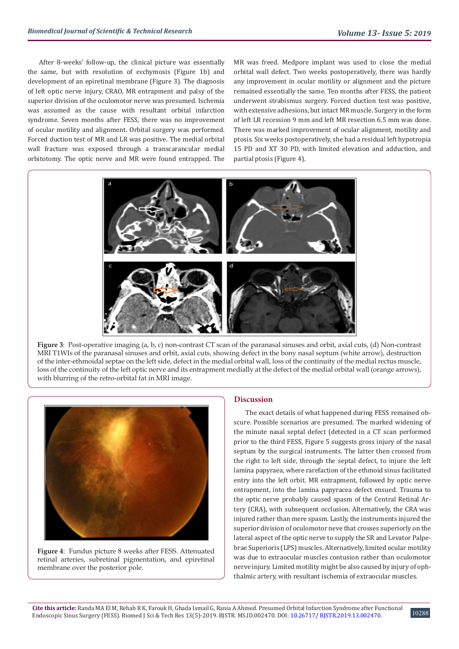After 8-weeks' follow-up, the clinical picture was essentially the same, but with resolution of ecchymosis (Figure 1b) and development of an epiretinal membrane (Figure 3). The diagnosis of left optic nerve injury, CRAO, MR entrapment and palsy of the superior division of the oculomotor nerve was presumed. Ischemia was assumed as the cause with resultant orbital infarction syndrome. Seven months after FESS, there was no improvement of ocular motility and alignment. Orbital surgery was performed. Forced duction test of MR and LR was positive. The medial orbital wall fracture was exposed through a transcarancular medial orbitotomy. The optic nerve and MR were found entrapped. The MR was freed. Medpore implant was used to close the medial orbital wall defect. Two weeks postoperatively, there was hardly any improvement in ocular motility or alignment and the picture remained essentially the same. Ten months after FESS, the patient underwent strabismus surgery. Forced duction test was positive, with extensive adhesions, but intact MR muscle. Surgery in the form of left LR recession 9 mm and left MR resection 6.5 mm was done. There was marked improvement of ocular alignment, motility and ptosis. Six weeks postoperatively, she had a residual left hypotropia 15 PD and XT 30 PD, with limited elevation and adduction, and partial ptosis (Figure 4).



**Figure 3**: Post-operative imaging (a, b, c) non-contrast CT scan of the paranasal sinuses and orbit, axial cuts, (d) Non-contrast MRI T1WIs of the paranasal sinuses and orbit, axial cuts, showing defect in the bony nasal septum (white arrow), destruction of the inter-ethmoidal septae on the left side, defect in the medial orbital wall, loss of the continuity of the medial rectus muscle, loss of the continuity of the left optic nerve and its entrapment medially at the defect of the medial orbital wall (orange arrows), with blurring of the retro-orbital fat in MRI image.



**Figure 4**: Fundus picture 8 weeks after FESS. Attenuated retinal arteries, subretinal pigmentation, and epiretinal membrane over the posterior pole.

#### **Discussion**

The exact details of what happened during FESS remained obscure. Possible scenarios are presumed. The marked widening of the minute nasal septal defect (detected in a CT scan performed prior to the third FESS, Figure 5 suggests gross injury of the nasal septum by the surgical instruments. The latter then crossed from the right to left side, through the septal defect, to injure the left lamina papyraea, where rarefaction of the ethmoid sinus facilitated entry into the left orbit. MR entrapment, followed by optic nerve entrapment, into the lamina papyracea defect ensued. Trauma to the optic nerve probably caused spasm of the Central Retinal Artery (CRA), with subsequent occlusion. Alternatively, the CRA was injured rather than mere spasm. Lastly, the instruments injured the superior division of oculomotor neve that crosses superiorly on the lateral aspect of the optic nerve to supply the SR and Levator Palpebrae Superioris (LPS) muscles. Alternatively, limited ocular motility was due to extraocular muscles contusion rather than oculomotor nerve injury. Limited motility might be also caused by injury of ophthalmic artery, with resultant ischemia of extraocular muscles.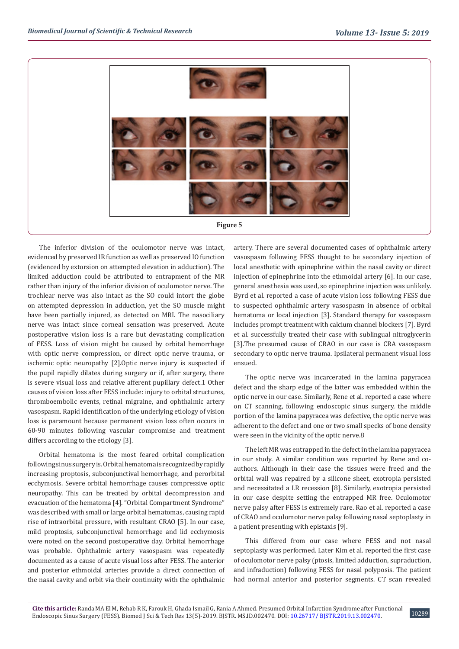

The inferior division of the oculomotor nerve was intact, evidenced by preserved IR function as well as preserved IO function (evidenced by extorsion on attempted elevation in adduction). The limited adduction could be attributed to entrapment of the MR rather than injury of the inferior division of oculomotor nerve. The trochlear nerve was also intact as the SO could intort the globe on attempted depression in adduction, yet the SO muscle might have been partially injured, as detected on MRI. The nasociliary nerve was intact since corneal sensation was preserved. Acute postoperative vision loss is a rare but devastating complication of FESS. Loss of vision might be caused by orbital hemorrhage with optic nerve compression, or direct optic nerve trauma, or ischemic optic neuropathy [2].Optic nerve injury is suspected if the pupil rapidly dilates during surgery or if, after surgery, there is severe visual loss and relative afferent pupillary defect.1 Other causes of vision loss after FESS include: injury to orbital structures, thromboembolic events, retinal migraine, and ophthalmic artery vasospasm. Rapid identification of the underlying etiology of vision loss is paramount because permanent vision loss often occurs in 60-90 minutes following vascular compromise and treatment differs according to the etiology [3].

Orbital hematoma is the most feared orbital complication following sinus surgery is. Orbital hematoma is recognized by rapidly increasing proptosis, subconjunctival hemorrhage, and perorbital ecchymosis. Severe orbital hemorrhage causes compressive optic neuropathy. This can be treated by orbital decompression and evacuation of the hematoma [4]. "Orbital Compartment Syndrome" was described with small or large orbital hematomas, causing rapid rise of intraorbital pressure, with resultant CRAO [5]. In our case, mild proptosis, subconjunctival hemorrhage and lid ecchymosis were noted on the second postoperative day. Orbital hemorrhage was probable. Ophthalmic artery vasospasm was repeatedly documented as a cause of acute visual loss after FESS. The anterior and posterior ethmoidal arteries provide a direct connection of the nasal cavity and orbit via their continuity with the ophthalmic

artery. There are several documented cases of ophthalmic artery vasospasm following FESS thought to be secondary injection of local anesthetic with epinephrine within the nasal cavity or direct injection of epinephrine into the ethmoidal artery [6]. In our case, general anesthesia was used, so epinephrine injection was unlikely. Byrd et al. reported a case of acute vision loss following FESS due to suspected ophthalmic artery vasospasm in absence of orbital hematoma or local injection [3]. Standard therapy for vasospasm includes prompt treatment with calcium channel blockers [7]. Byrd et al. successfully treated their case with sublingual nitroglycerin [3].The presumed cause of CRAO in our case is CRA vasospasm secondary to optic nerve trauma. Ipsilateral permanent visual loss ensued.

The optic nerve was incarcerated in the lamina papyracea defect and the sharp edge of the latter was embedded within the optic nerve in our case. Similarly, Rene et al. reported a case where on CT scanning, following endoscopic sinus surgery, the middle portion of the lamina papyracea was defective, the optic nerve was adherent to the defect and one or two small specks of bone density were seen in the vicinity of the optic nerve.8

The left MR was entrapped in the defect in the lamina papyracea in our study. A similar condition was reported by Rene and coauthors. Although in their case the tissues were freed and the orbital wall was repaired by a silicone sheet, exotropia persisted and necessitated a LR recession [8]. Similarly, exotropia persisted in our case despite setting the entrapped MR free. Oculomotor nerve palsy after FESS is extremely rare. Rao et al. reported a case of CRAO and oculomotor nerve palsy following nasal septoplasty in a patient presenting with epistaxis [9].

This differed from our case where FESS and not nasal septoplasty was performed. Later Kim et al. reported the first case of oculomotor nerve palsy (ptosis, limited adduction, supraduction, and infraduction) following FESS for nasal polyposis. The patient had normal anterior and posterior segments. CT scan revealed